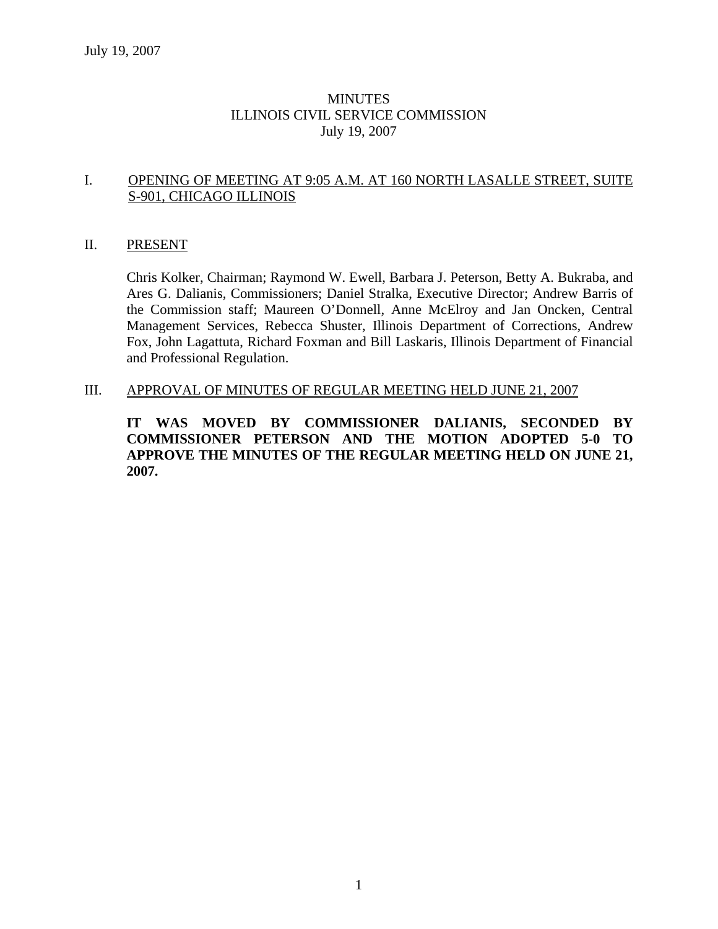### MINUTES ILLINOIS CIVIL SERVICE COMMISSION July 19, 2007

#### I. OPENING OF MEETING AT 9:05 A.M. AT 160 NORTH LASALLE STREET, SUITE S-901, CHICAGO ILLINOIS

#### II. PRESENT

Chris Kolker, Chairman; Raymond W. Ewell, Barbara J. Peterson, Betty A. Bukraba, and Ares G. Dalianis, Commissioners; Daniel Stralka, Executive Director; Andrew Barris of the Commission staff; Maureen O'Donnell, Anne McElroy and Jan Oncken, Central Management Services, Rebecca Shuster, Illinois Department of Corrections, Andrew Fox, John Lagattuta, Richard Foxman and Bill Laskaris, Illinois Department of Financial and Professional Regulation.

III. APPROVAL OF MINUTES OF REGULAR MEETING HELD JUNE 21, 2007

**IT WAS MOVED BY COMMISSIONER DALIANIS, SECONDED BY COMMISSIONER PETERSON AND THE MOTION ADOPTED 5-0 TO APPROVE THE MINUTES OF THE REGULAR MEETING HELD ON JUNE 21, 2007.**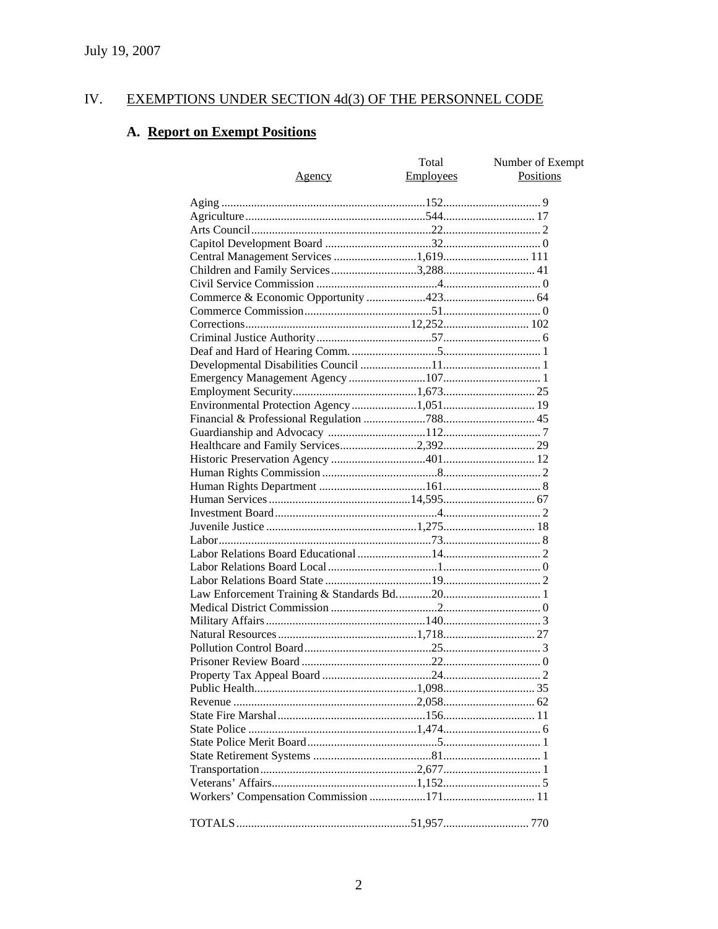#### IV. **EXEMPTIONS UNDER SECTION 4d(3) OF THE PERSONNEL CODE**

# A. Report on Exempt Positions

| <u>Agency</u> | Total<br><b>Employees</b> | Number of Exempt<br><b>Positions</b> |
|---------------|---------------------------|--------------------------------------|
|               |                           |                                      |
|               |                           |                                      |
|               |                           |                                      |
|               |                           |                                      |
|               |                           |                                      |
|               |                           |                                      |
|               |                           |                                      |
|               |                           |                                      |
|               |                           |                                      |
|               |                           |                                      |
|               |                           |                                      |
|               |                           |                                      |
|               |                           |                                      |
|               |                           |                                      |
|               |                           |                                      |
|               |                           |                                      |
|               |                           |                                      |
|               |                           |                                      |
|               |                           |                                      |
|               |                           |                                      |
|               |                           |                                      |
|               |                           |                                      |
|               |                           |                                      |
|               |                           |                                      |
|               |                           |                                      |
|               |                           |                                      |
|               |                           |                                      |
|               |                           |                                      |
|               |                           |                                      |
|               |                           |                                      |
|               |                           |                                      |
|               |                           |                                      |
|               |                           |                                      |
|               |                           |                                      |
|               |                           |                                      |
|               |                           |                                      |
|               |                           |                                      |
|               |                           |                                      |
|               |                           |                                      |
|               |                           |                                      |
|               |                           |                                      |
|               |                           |                                      |
|               |                           |                                      |
|               |                           |                                      |
|               |                           |                                      |
|               |                           |                                      |
|               |                           |                                      |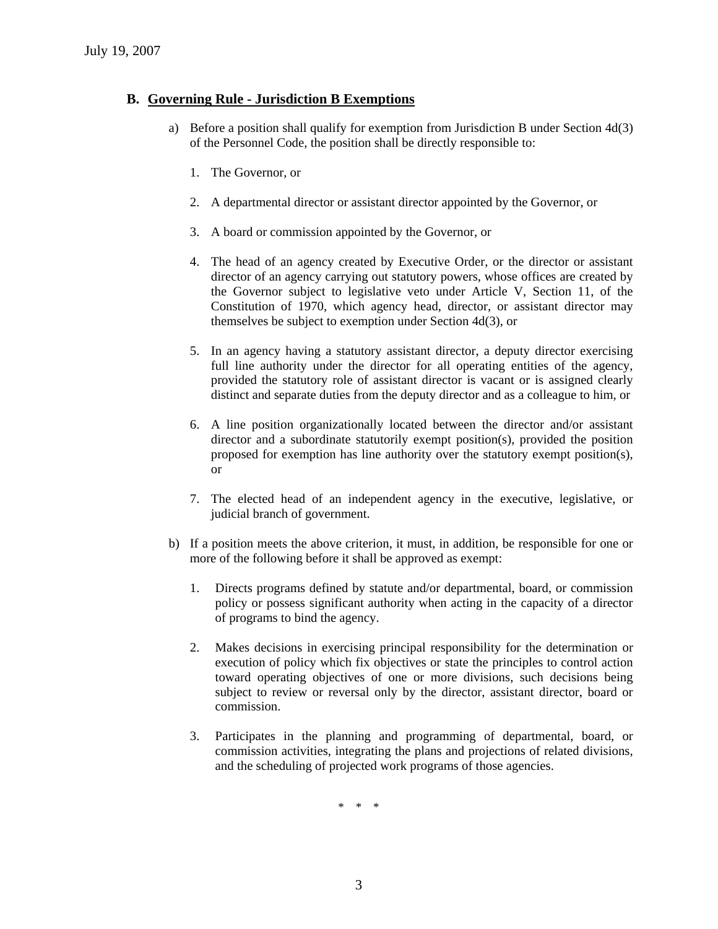#### **B. Governing Rule - Jurisdiction B Exemptions**

- a) Before a position shall qualify for exemption from Jurisdiction B under Section 4d(3) of the Personnel Code, the position shall be directly responsible to:
	- 1. The Governor, or
	- 2. A departmental director or assistant director appointed by the Governor, or
	- 3. A board or commission appointed by the Governor, or
	- 4. The head of an agency created by Executive Order, or the director or assistant director of an agency carrying out statutory powers, whose offices are created by the Governor subject to legislative veto under Article V, Section 11, of the Constitution of 1970, which agency head, director, or assistant director may themselves be subject to exemption under Section 4d(3), or
	- 5. In an agency having a statutory assistant director, a deputy director exercising full line authority under the director for all operating entities of the agency, provided the statutory role of assistant director is vacant or is assigned clearly distinct and separate duties from the deputy director and as a colleague to him, or
	- 6. A line position organizationally located between the director and/or assistant director and a subordinate statutorily exempt position(s), provided the position proposed for exemption has line authority over the statutory exempt position(s), or
	- 7. The elected head of an independent agency in the executive, legislative, or judicial branch of government.
- b) If a position meets the above criterion, it must, in addition, be responsible for one or more of the following before it shall be approved as exempt:
	- 1. Directs programs defined by statute and/or departmental, board, or commission policy or possess significant authority when acting in the capacity of a director of programs to bind the agency.
	- 2. Makes decisions in exercising principal responsibility for the determination or execution of policy which fix objectives or state the principles to control action toward operating objectives of one or more divisions, such decisions being subject to review or reversal only by the director, assistant director, board or commission.
	- 3. Participates in the planning and programming of departmental, board, or commission activities, integrating the plans and projections of related divisions, and the scheduling of projected work programs of those agencies.

\* \* \*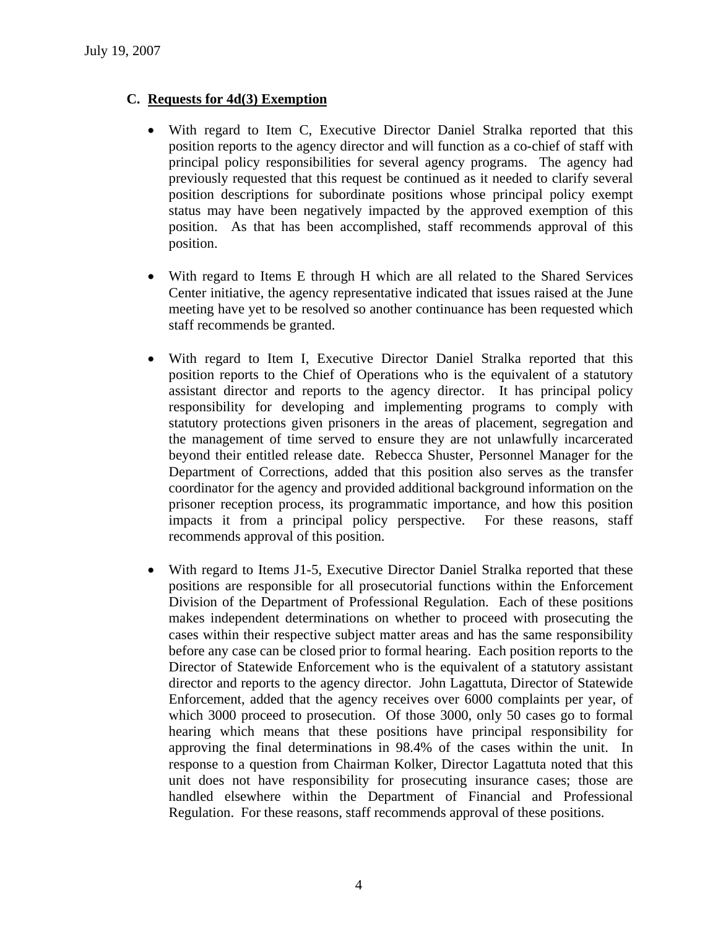# **C. Requests for 4d(3) Exemption**

- With regard to Item C, Executive Director Daniel Stralka reported that this position reports to the agency director and will function as a co-chief of staff with principal policy responsibilities for several agency programs. The agency had previously requested that this request be continued as it needed to clarify several position descriptions for subordinate positions whose principal policy exempt status may have been negatively impacted by the approved exemption of this position. As that has been accomplished, staff recommends approval of this position.
- With regard to Items E through H which are all related to the Shared Services Center initiative, the agency representative indicated that issues raised at the June meeting have yet to be resolved so another continuance has been requested which staff recommends be granted.
- With regard to Item I, Executive Director Daniel Stralka reported that this position reports to the Chief of Operations who is the equivalent of a statutory assistant director and reports to the agency director. It has principal policy responsibility for developing and implementing programs to comply with statutory protections given prisoners in the areas of placement, segregation and the management of time served to ensure they are not unlawfully incarcerated beyond their entitled release date. Rebecca Shuster, Personnel Manager for the Department of Corrections, added that this position also serves as the transfer coordinator for the agency and provided additional background information on the prisoner reception process, its programmatic importance, and how this position impacts it from a principal policy perspective. For these reasons, staff recommends approval of this position.
- With regard to Items J1-5, Executive Director Daniel Stralka reported that these positions are responsible for all prosecutorial functions within the Enforcement Division of the Department of Professional Regulation. Each of these positions makes independent determinations on whether to proceed with prosecuting the cases within their respective subject matter areas and has the same responsibility before any case can be closed prior to formal hearing. Each position reports to the Director of Statewide Enforcement who is the equivalent of a statutory assistant director and reports to the agency director. John Lagattuta, Director of Statewide Enforcement, added that the agency receives over 6000 complaints per year, of which 3000 proceed to prosecution. Of those 3000, only 50 cases go to formal hearing which means that these positions have principal responsibility for approving the final determinations in 98.4% of the cases within the unit. In response to a question from Chairman Kolker, Director Lagattuta noted that this unit does not have responsibility for prosecuting insurance cases; those are handled elsewhere within the Department of Financial and Professional Regulation. For these reasons, staff recommends approval of these positions.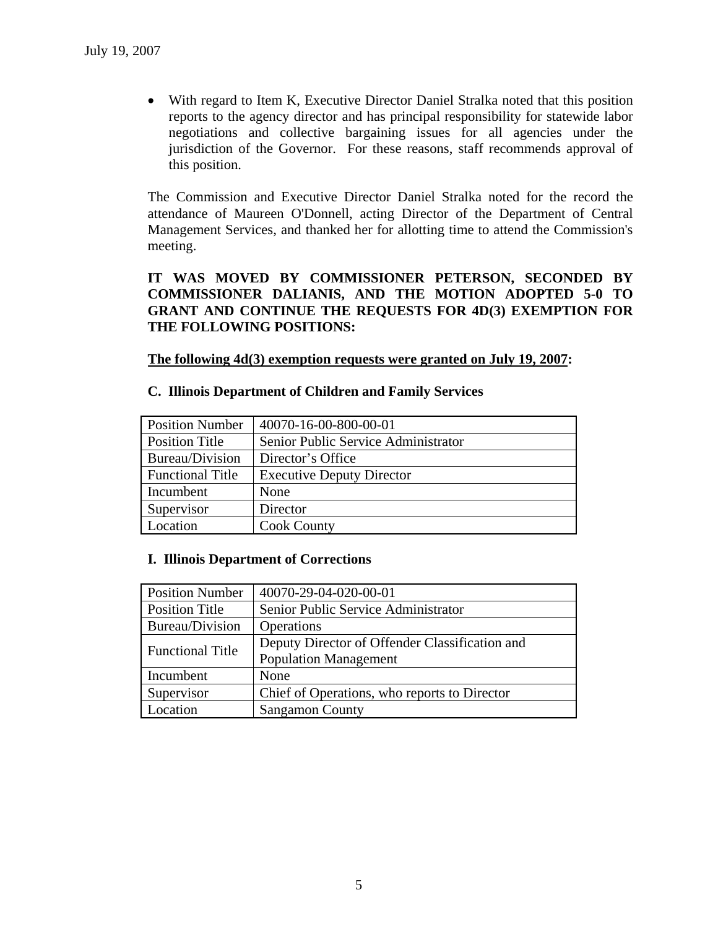• With regard to Item K, Executive Director Daniel Stralka noted that this position reports to the agency director and has principal responsibility for statewide labor negotiations and collective bargaining issues for all agencies under the jurisdiction of the Governor. For these reasons, staff recommends approval of this position.

The Commission and Executive Director Daniel Stralka noted for the record the attendance of Maureen O'Donnell, acting Director of the Department of Central Management Services, and thanked her for allotting time to attend the Commission's meeting.

### **IT WAS MOVED BY COMMISSIONER PETERSON, SECONDED BY COMMISSIONER DALIANIS, AND THE MOTION ADOPTED 5-0 TO GRANT AND CONTINUE THE REQUESTS FOR 4D(3) EXEMPTION FOR THE FOLLOWING POSITIONS:**

#### **The following 4d(3) exemption requests were granted on July 19, 2007:**

#### **C. Illinois Department of Children and Family Services**

| <b>Position Number</b>  | 40070-16-00-800-00-01               |
|-------------------------|-------------------------------------|
| <b>Position Title</b>   | Senior Public Service Administrator |
| Bureau/Division         | Director's Office                   |
| <b>Functional Title</b> | <b>Executive Deputy Director</b>    |
| Incumbent               | None                                |
| Supervisor              | Director                            |
| Location                | <b>Cook County</b>                  |

#### **I. Illinois Department of Corrections**

| <b>Position Number</b>  | 40070-29-04-020-00-01                          |
|-------------------------|------------------------------------------------|
| <b>Position Title</b>   | Senior Public Service Administrator            |
| Bureau/Division         | Operations                                     |
| <b>Functional Title</b> | Deputy Director of Offender Classification and |
|                         | <b>Population Management</b>                   |
| Incumbent               | None                                           |
| Supervisor              | Chief of Operations, who reports to Director   |
| Location                | <b>Sangamon County</b>                         |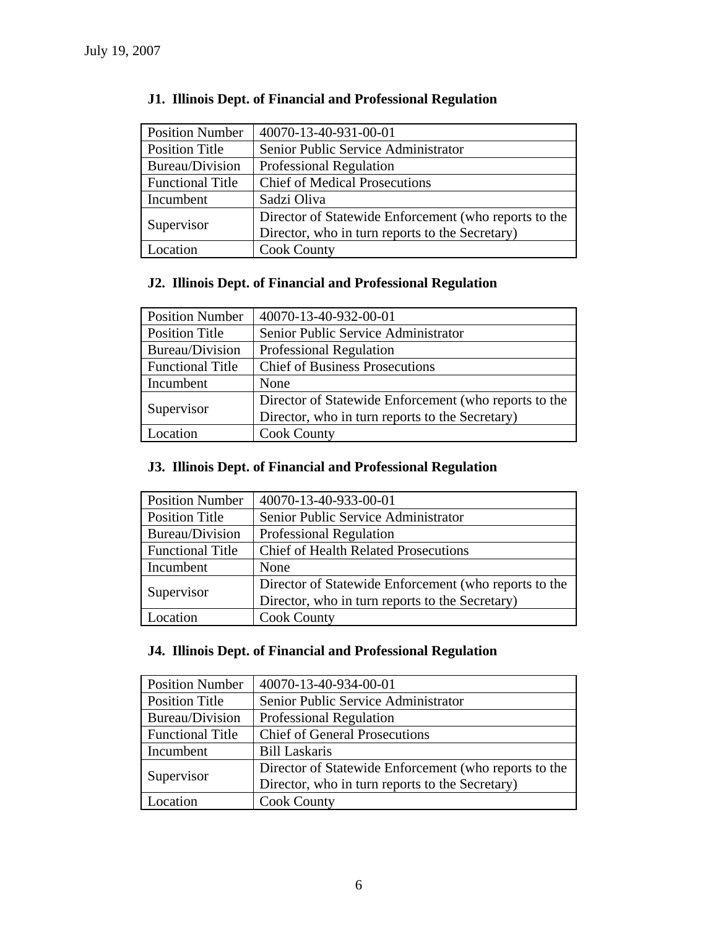| <b>Position Number</b>  | 40070-13-40-931-00-01                                 |
|-------------------------|-------------------------------------------------------|
| <b>Position Title</b>   | Senior Public Service Administrator                   |
| Bureau/Division         | <b>Professional Regulation</b>                        |
| <b>Functional Title</b> | <b>Chief of Medical Prosecutions</b>                  |
| Incumbent               | Sadzi Oliva                                           |
| Supervisor              | Director of Statewide Enforcement (who reports to the |
|                         | Director, who in turn reports to the Secretary)       |
| Location                | <b>Cook County</b>                                    |

# **J1. Illinois Dept. of Financial and Professional Regulation**

# **J2. Illinois Dept. of Financial and Professional Regulation**

| <b>Position Number</b>  | 40070-13-40-932-00-01                                 |
|-------------------------|-------------------------------------------------------|
| <b>Position Title</b>   | Senior Public Service Administrator                   |
| Bureau/Division         | Professional Regulation                               |
| <b>Functional Title</b> | <b>Chief of Business Prosecutions</b>                 |
| Incumbent               | None                                                  |
| Supervisor              | Director of Statewide Enforcement (who reports to the |
|                         | Director, who in turn reports to the Secretary)       |
| Location                | <b>Cook County</b>                                    |

# **J3. Illinois Dept. of Financial and Professional Regulation**

| <b>Position Number</b>  | 40070-13-40-933-00-01                                 |
|-------------------------|-------------------------------------------------------|
| <b>Position Title</b>   | Senior Public Service Administrator                   |
| Bureau/Division         | Professional Regulation                               |
| <b>Functional Title</b> | <b>Chief of Health Related Prosecutions</b>           |
| Incumbent               | None                                                  |
| Supervisor              | Director of Statewide Enforcement (who reports to the |
|                         | Director, who in turn reports to the Secretary)       |
| Location                | <b>Cook County</b>                                    |

# **J4. Illinois Dept. of Financial and Professional Regulation**

| <b>Position Number</b>  | 40070-13-40-934-00-01                                 |
|-------------------------|-------------------------------------------------------|
| <b>Position Title</b>   | Senior Public Service Administrator                   |
| Bureau/Division         | Professional Regulation                               |
| <b>Functional Title</b> | <b>Chief of General Prosecutions</b>                  |
| Incumbent               | <b>Bill Laskaris</b>                                  |
| Supervisor              | Director of Statewide Enforcement (who reports to the |
|                         | Director, who in turn reports to the Secretary)       |
| Location                | <b>Cook County</b>                                    |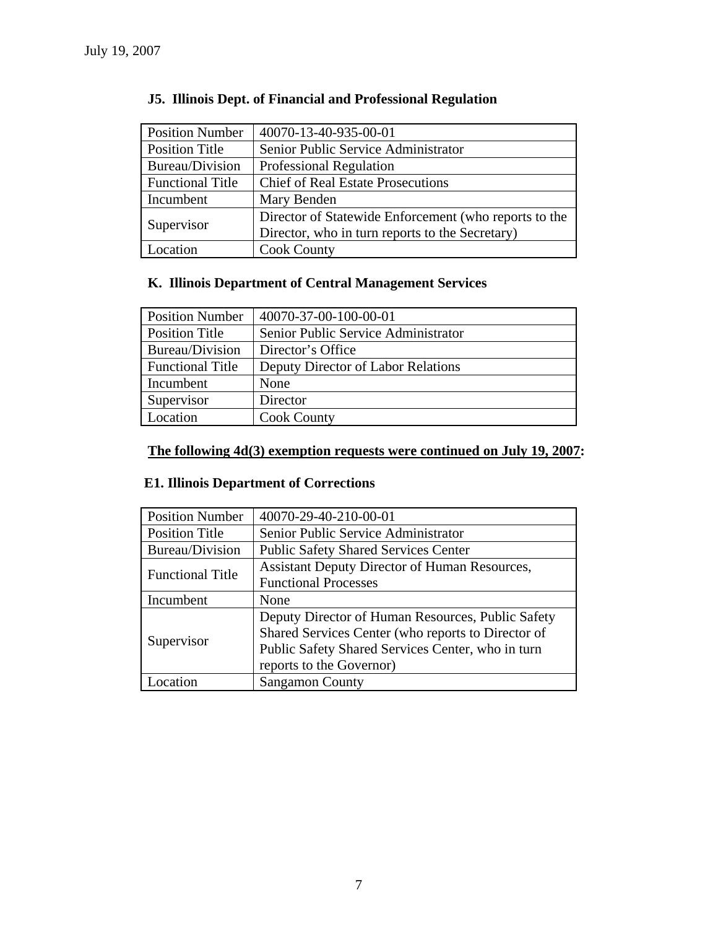| <b>Position Number</b>  | 40070-13-40-935-00-01                                 |
|-------------------------|-------------------------------------------------------|
| <b>Position Title</b>   | Senior Public Service Administrator                   |
| Bureau/Division         | Professional Regulation                               |
| <b>Functional Title</b> | <b>Chief of Real Estate Prosecutions</b>              |
| Incumbent               | Mary Benden                                           |
| Supervisor              | Director of Statewide Enforcement (who reports to the |
|                         | Director, who in turn reports to the Secretary)       |
| Location                | <b>Cook County</b>                                    |

# **J5. Illinois Dept. of Financial and Professional Regulation**

# **K. Illinois Department of Central Management Services**

| <b>Position Number</b>  | 40070-37-00-100-00-01               |
|-------------------------|-------------------------------------|
| <b>Position Title</b>   | Senior Public Service Administrator |
| Bureau/Division         | Director's Office                   |
| <b>Functional Title</b> | Deputy Director of Labor Relations  |
| Incumbent               | None                                |
| Supervisor              | Director                            |
| Location                | <b>Cook County</b>                  |

# **The following 4d(3) exemption requests were continued on July 19, 2007:**

# **E1. Illinois Department of Corrections**

| <b>Position Number</b>  | 40070-29-40-210-00-01                                |
|-------------------------|------------------------------------------------------|
| <b>Position Title</b>   | Senior Public Service Administrator                  |
| <b>Bureau/Division</b>  | <b>Public Safety Shared Services Center</b>          |
| <b>Functional Title</b> | <b>Assistant Deputy Director of Human Resources,</b> |
|                         | <b>Functional Processes</b>                          |
| Incumbent               | None                                                 |
| Supervisor              | Deputy Director of Human Resources, Public Safety    |
|                         | Shared Services Center (who reports to Director of   |
|                         | Public Safety Shared Services Center, who in turn    |
|                         | reports to the Governor)                             |
| Location                | <b>Sangamon County</b>                               |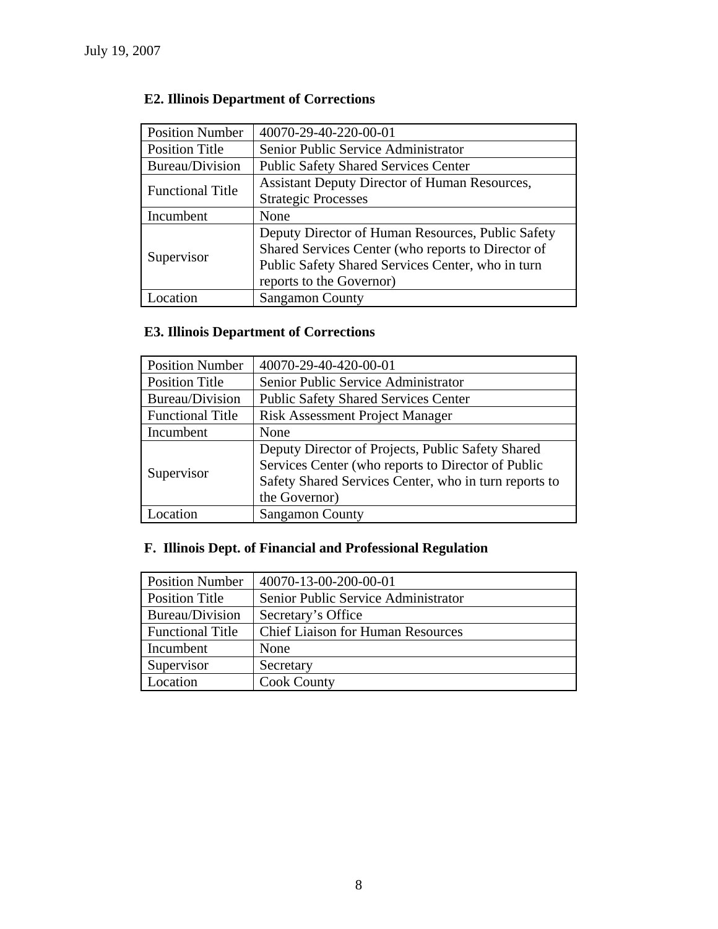# **E2. Illinois Department of Corrections**

| <b>Position Number</b>  | 40070-29-40-220-00-01                                |
|-------------------------|------------------------------------------------------|
| <b>Position Title</b>   | Senior Public Service Administrator                  |
| Bureau/Division         | <b>Public Safety Shared Services Center</b>          |
| <b>Functional Title</b> | <b>Assistant Deputy Director of Human Resources,</b> |
|                         | <b>Strategic Processes</b>                           |
| Incumbent               | None                                                 |
| Supervisor              | Deputy Director of Human Resources, Public Safety    |
|                         | Shared Services Center (who reports to Director of   |
|                         | Public Safety Shared Services Center, who in turn    |
|                         | reports to the Governor)                             |
| ocation                 | <b>Sangamon County</b>                               |

# **E3. Illinois Department of Corrections**

| <b>Position Number</b>  | 40070-29-40-420-00-01                                 |
|-------------------------|-------------------------------------------------------|
| <b>Position Title</b>   | Senior Public Service Administrator                   |
| Bureau/Division         | <b>Public Safety Shared Services Center</b>           |
| <b>Functional Title</b> | <b>Risk Assessment Project Manager</b>                |
| Incumbent               | None                                                  |
| Supervisor              | Deputy Director of Projects, Public Safety Shared     |
|                         | Services Center (who reports to Director of Public    |
|                         | Safety Shared Services Center, who in turn reports to |
|                         | the Governor)                                         |
| Location                | <b>Sangamon County</b>                                |

# **F. Illinois Dept. of Financial and Professional Regulation**

| <b>Position Number</b>  | 40070-13-00-200-00-01                    |
|-------------------------|------------------------------------------|
| <b>Position Title</b>   | Senior Public Service Administrator      |
| Bureau/Division         | Secretary's Office                       |
| <b>Functional Title</b> | <b>Chief Liaison for Human Resources</b> |
| Incumbent               | None                                     |
| Supervisor              | Secretary                                |
| Location                | <b>Cook County</b>                       |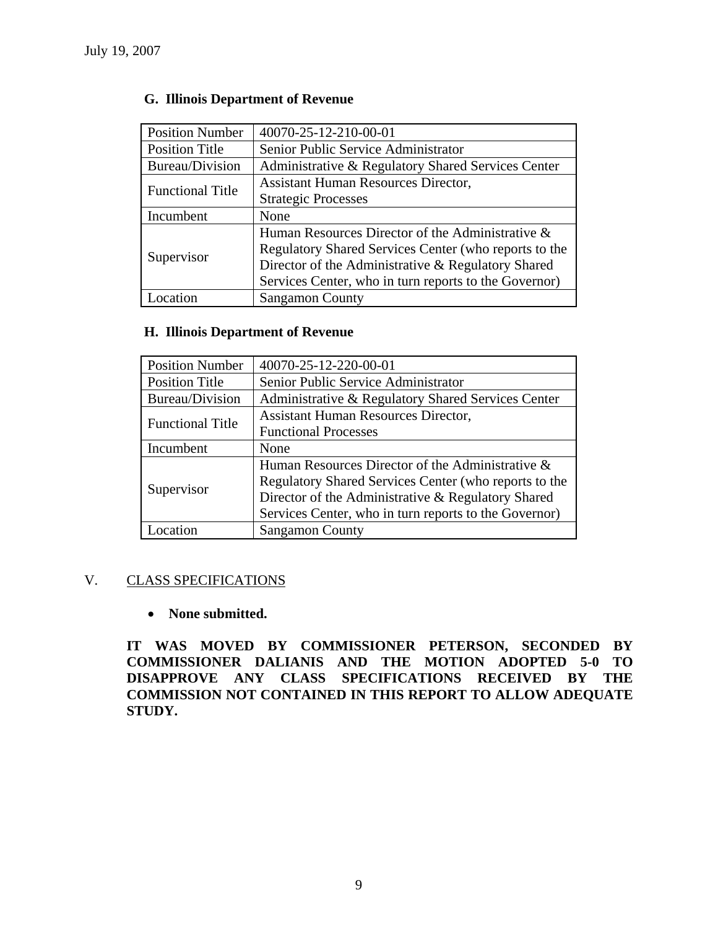| <b>Position Number</b>  | 40070-25-12-210-00-01                                 |
|-------------------------|-------------------------------------------------------|
| <b>Position Title</b>   | Senior Public Service Administrator                   |
| Bureau/Division         | Administrative & Regulatory Shared Services Center    |
| <b>Functional Title</b> | <b>Assistant Human Resources Director,</b>            |
|                         | <b>Strategic Processes</b>                            |
| Incumbent               | None                                                  |
|                         | Human Resources Director of the Administrative &      |
|                         | Regulatory Shared Services Center (who reports to the |
| Supervisor              | Director of the Administrative & Regulatory Shared    |
|                         | Services Center, who in turn reports to the Governor) |
| ocation                 | <b>Sangamon County</b>                                |

# **G. Illinois Department of Revenue**

# **H. Illinois Department of Revenue**

| <b>Position Number</b>  | 40070-25-12-220-00-01                                 |
|-------------------------|-------------------------------------------------------|
| <b>Position Title</b>   | Senior Public Service Administrator                   |
| Bureau/Division         | Administrative & Regulatory Shared Services Center    |
| <b>Functional Title</b> | <b>Assistant Human Resources Director,</b>            |
|                         | <b>Functional Processes</b>                           |
| Incumbent               | None                                                  |
|                         | Human Resources Director of the Administrative &      |
| Supervisor              | Regulatory Shared Services Center (who reports to the |
|                         | Director of the Administrative & Regulatory Shared    |
|                         | Services Center, who in turn reports to the Governor) |
| Location                | <b>Sangamon County</b>                                |

#### V. CLASS SPECIFICATIONS

#### • **None submitted.**

**IT WAS MOVED BY COMMISSIONER PETERSON, SECONDED BY COMMISSIONER DALIANIS AND THE MOTION ADOPTED 5-0 TO DISAPPROVE ANY CLASS SPECIFICATIONS RECEIVED BY THE COMMISSION NOT CONTAINED IN THIS REPORT TO ALLOW ADEQUATE STUDY.**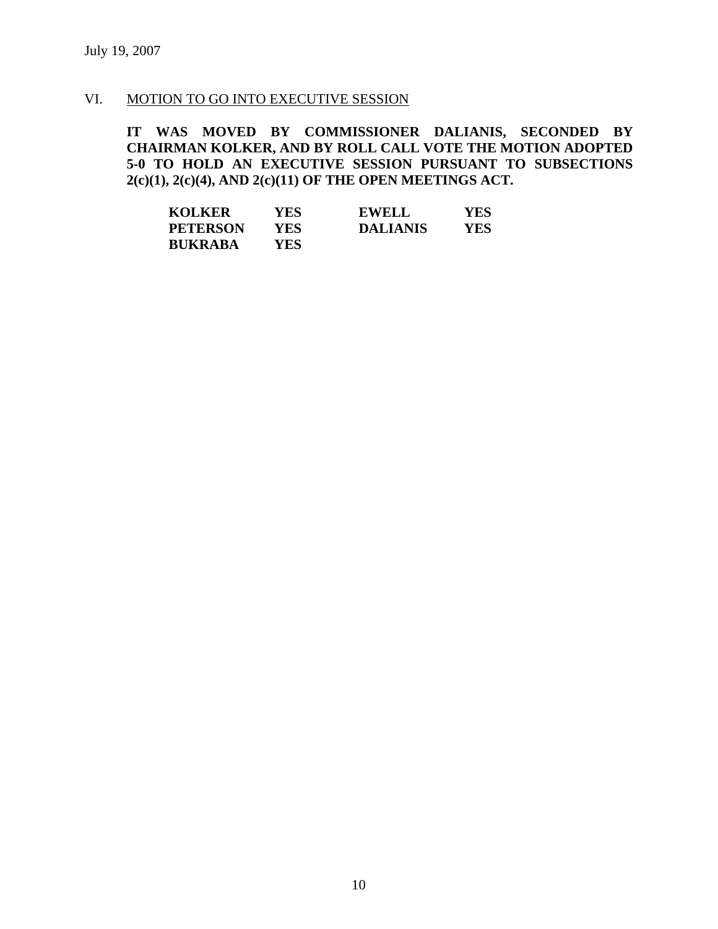#### VI. MOTION TO GO INTO EXECUTIVE SESSION

**IT WAS MOVED BY COMMISSIONER DALIANIS, SECONDED BY CHAIRMAN KOLKER, AND BY ROLL CALL VOTE THE MOTION ADOPTED 5-0 TO HOLD AN EXECUTIVE SESSION PURSUANT TO SUBSECTIONS 2(c)(1), 2(c)(4), AND 2(c)(11) OF THE OPEN MEETINGS ACT.** 

| <b>KOLKER</b>   | YES | <b>EWELL</b>    | YES |
|-----------------|-----|-----------------|-----|
| <b>PETERSON</b> | YES | <b>DALIANIS</b> | YES |
| <b>BUKRABA</b>  | YES |                 |     |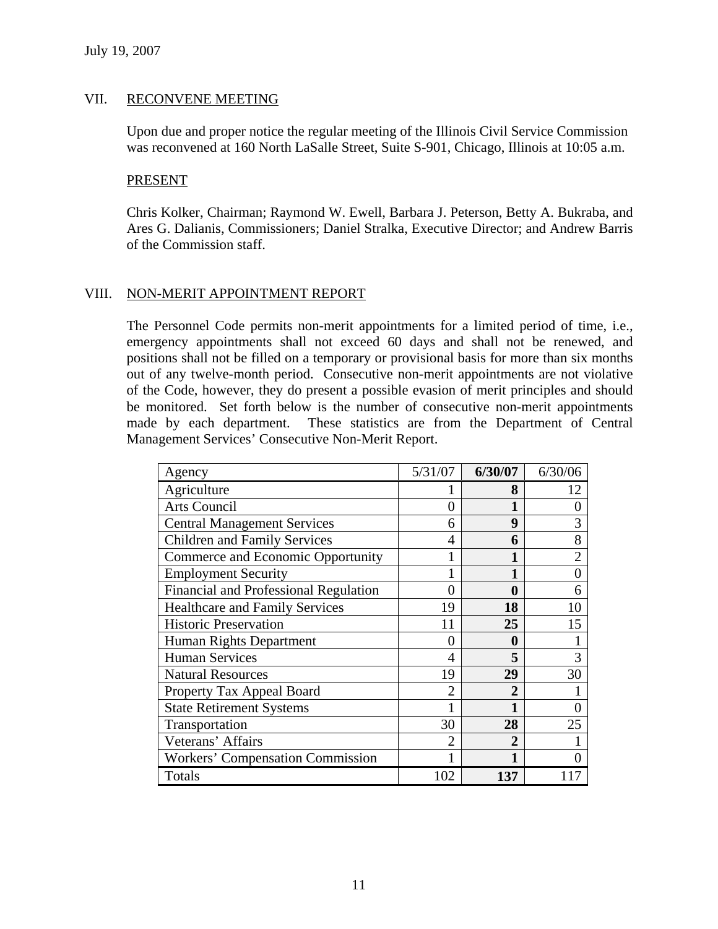#### VII. RECONVENE MEETING

Upon due and proper notice the regular meeting of the Illinois Civil Service Commission was reconvened at 160 North LaSalle Street, Suite S-901, Chicago, Illinois at 10:05 a.m.

#### PRESENT

Chris Kolker, Chairman; Raymond W. Ewell, Barbara J. Peterson, Betty A. Bukraba, and Ares G. Dalianis, Commissioners; Daniel Stralka, Executive Director; and Andrew Barris of the Commission staff.

### VIII. NON-MERIT APPOINTMENT REPORT

The Personnel Code permits non-merit appointments for a limited period of time, i.e., emergency appointments shall not exceed 60 days and shall not be renewed, and positions shall not be filled on a temporary or provisional basis for more than six months out of any twelve-month period. Consecutive non-merit appointments are not violative of the Code, however, they do present a possible evasion of merit principles and should be monitored. Set forth below is the number of consecutive non-merit appointments made by each department. These statistics are from the Department of Central Management Services' Consecutive Non-Merit Report.

| Agency                                | 5/31/07        | 6/30/07      | 6/30/06        |
|---------------------------------------|----------------|--------------|----------------|
| Agriculture                           |                | 8            | 12             |
| <b>Arts Council</b>                   | 0              |              | 0              |
| <b>Central Management Services</b>    | 6              | 9            | 3              |
| Children and Family Services          | 4              | 6            | 8              |
| Commerce and Economic Opportunity     |                |              | $\overline{2}$ |
| <b>Employment Security</b>            |                |              | $\theta$       |
| Financial and Professional Regulation | 0              | 0            | 6              |
| <b>Healthcare and Family Services</b> | 19             | 18           | 10             |
| <b>Historic Preservation</b>          | 11             | 25           | 15             |
| Human Rights Department               | 0              | 0            |                |
| <b>Human Services</b>                 | 4              | 5            | 3              |
| <b>Natural Resources</b>              | 19             | 29           | 30             |
| Property Tax Appeal Board             | $\overline{2}$ | 2            |                |
| <b>State Retirement Systems</b>       |                | 1            |                |
| Transportation                        | 30             | 28           | 25             |
| Veterans' Affairs                     | $\mathfrak{D}$ | $\mathbf{2}$ |                |
| Workers' Compensation Commission      |                |              |                |
| Totals                                | 102            | 137          |                |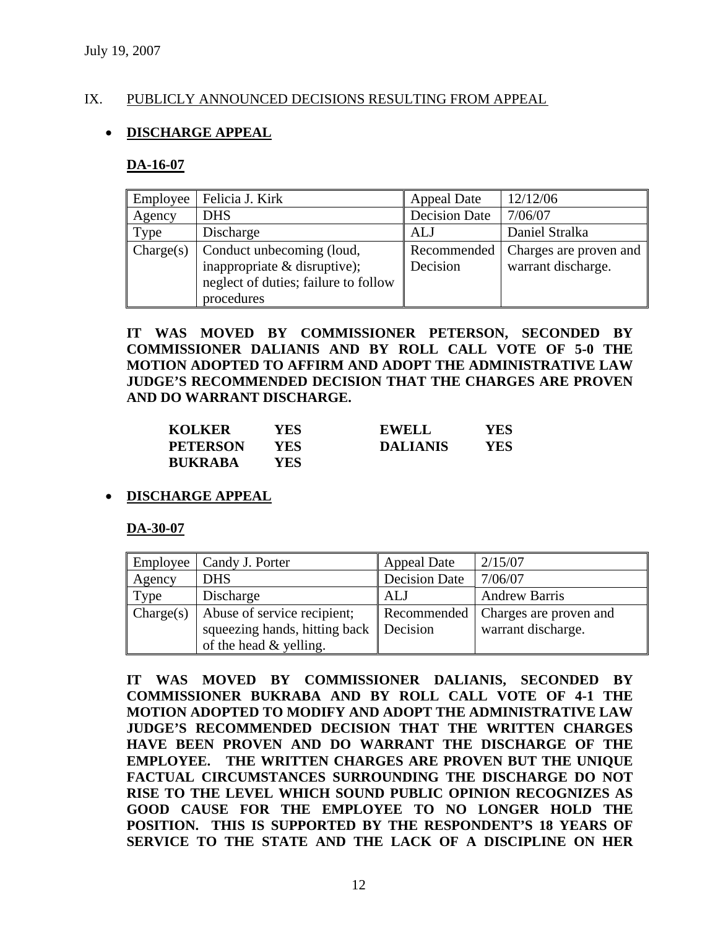#### IX. PUBLICLY ANNOUNCED DECISIONS RESULTING FROM APPEAL

### • **DISCHARGE APPEAL**

#### **DA-16-07**

| Employee  | Felicia J. Kirk                                                                                                 | <b>Appeal Date</b>      | 12/12/06                                     |
|-----------|-----------------------------------------------------------------------------------------------------------------|-------------------------|----------------------------------------------|
| Agency    | <b>DHS</b>                                                                                                      | <b>Decision Date</b>    | 7/06/07                                      |
| Type      | Discharge                                                                                                       | <b>ALJ</b>              | Daniel Stralka                               |
| Change(s) | Conduct unbecoming (loud,<br>inappropriate & disruptive);<br>neglect of duties; failure to follow<br>procedures | Recommended<br>Decision | Charges are proven and<br>warrant discharge. |

**IT WAS MOVED BY COMMISSIONER PETERSON, SECONDED BY COMMISSIONER DALIANIS AND BY ROLL CALL VOTE OF 5-0 THE MOTION ADOPTED TO AFFIRM AND ADOPT THE ADMINISTRATIVE LAW JUDGE'S RECOMMENDED DECISION THAT THE CHARGES ARE PROVEN AND DO WARRANT DISCHARGE.** 

| <b>KOLKER</b>   | YES  | <b>EWELL</b>    | YES |
|-----------------|------|-----------------|-----|
| <b>PETERSON</b> | YES- | <b>DALIANIS</b> | YES |
| <b>BUKRABA</b>  | YES  |                 |     |

#### • **DISCHARGE APPEAL**

#### **DA-30-07**

| Employee  | Candy J. Porter               | <b>Appeal Date</b>   | 2/15/07                |
|-----------|-------------------------------|----------------------|------------------------|
| Agency    | <b>DHS</b>                    | <b>Decision Date</b> | 7/06/07                |
| Type      | Discharge                     | <b>ALJ</b>           | <b>Andrew Barris</b>   |
| Change(s) | Abuse of service recipient;   | Recommended          | Charges are proven and |
|           | squeezing hands, hitting back | Decision             | warrant discharge.     |
|           | of the head & yelling.        |                      |                        |

**IT WAS MOVED BY COMMISSIONER DALIANIS, SECONDED BY COMMISSIONER BUKRABA AND BY ROLL CALL VOTE OF 4-1 THE MOTION ADOPTED TO MODIFY AND ADOPT THE ADMINISTRATIVE LAW JUDGE'S RECOMMENDED DECISION THAT THE WRITTEN CHARGES HAVE BEEN PROVEN AND DO WARRANT THE DISCHARGE OF THE EMPLOYEE. THE WRITTEN CHARGES ARE PROVEN BUT THE UNIQUE FACTUAL CIRCUMSTANCES SURROUNDING THE DISCHARGE DO NOT RISE TO THE LEVEL WHICH SOUND PUBLIC OPINION RECOGNIZES AS GOOD CAUSE FOR THE EMPLOYEE TO NO LONGER HOLD THE POSITION. THIS IS SUPPORTED BY THE RESPONDENT'S 18 YEARS OF SERVICE TO THE STATE AND THE LACK OF A DISCIPLINE ON HER**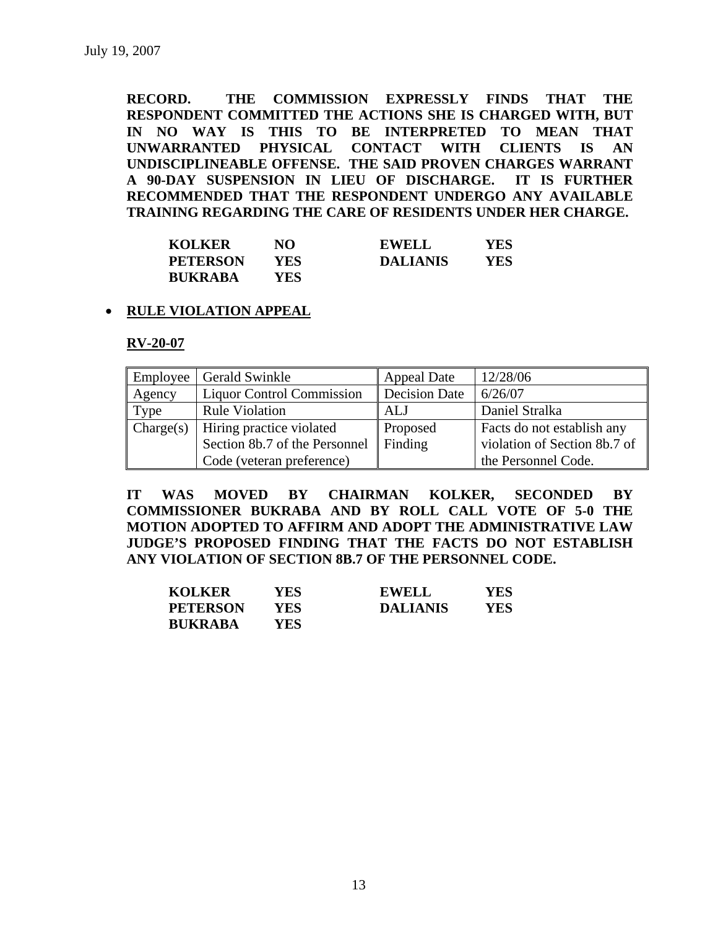**RECORD. THE COMMISSION EXPRESSLY FINDS THAT THE RESPONDENT COMMITTED THE ACTIONS SHE IS CHARGED WITH, BUT IN NO WAY IS THIS TO BE INTERPRETED TO MEAN THAT UNWARRANTED PHYSICAL CONTACT WITH CLIENTS IS AN UNDISCIPLINEABLE OFFENSE. THE SAID PROVEN CHARGES WARRANT A 90-DAY SUSPENSION IN LIEU OF DISCHARGE. IT IS FURTHER RECOMMENDED THAT THE RESPONDENT UNDERGO ANY AVAILABLE TRAINING REGARDING THE CARE OF RESIDENTS UNDER HER CHARGE.** 

| <b>KOLKER</b>   | NO  | <b>EWELL</b>    | YES |
|-----------------|-----|-----------------|-----|
| <b>PETERSON</b> | YES | <b>DALIANIS</b> | YES |
| <b>BUKRABA</b>  | YES |                 |     |

#### • **RULE VIOLATION APPEAL**

**RV-20-07**

| Employee  | <b>Gerald Swinkle</b>            | <b>Appeal Date</b>   | 12/28/06                     |
|-----------|----------------------------------|----------------------|------------------------------|
| Agency    | <b>Liquor Control Commission</b> | <b>Decision Date</b> | 6/26/07                      |
| Type      | <b>Rule Violation</b>            | ALJ                  | Daniel Stralka               |
| Change(s) | Hiring practice violated         | Proposed             | Facts do not establish any   |
|           | Section 8b.7 of the Personnel    | Finding              | violation of Section 8b.7 of |
|           | Code (veteran preference)        |                      | the Personnel Code.          |

**IT WAS MOVED BY CHAIRMAN KOLKER, SECONDED BY COMMISSIONER BUKRABA AND BY ROLL CALL VOTE OF 5-0 THE MOTION ADOPTED TO AFFIRM AND ADOPT THE ADMINISTRATIVE LAW JUDGE'S PROPOSED FINDING THAT THE FACTS DO NOT ESTABLISH ANY VIOLATION OF SECTION 8B.7 OF THE PERSONNEL CODE.** 

| <b>KOLKER</b>   | <b>YES</b> | <b>EWELL</b>    | YES |
|-----------------|------------|-----------------|-----|
| <b>PETERSON</b> | YES        | <b>DALIANIS</b> | YES |
| <b>BUKRABA</b>  | YES        |                 |     |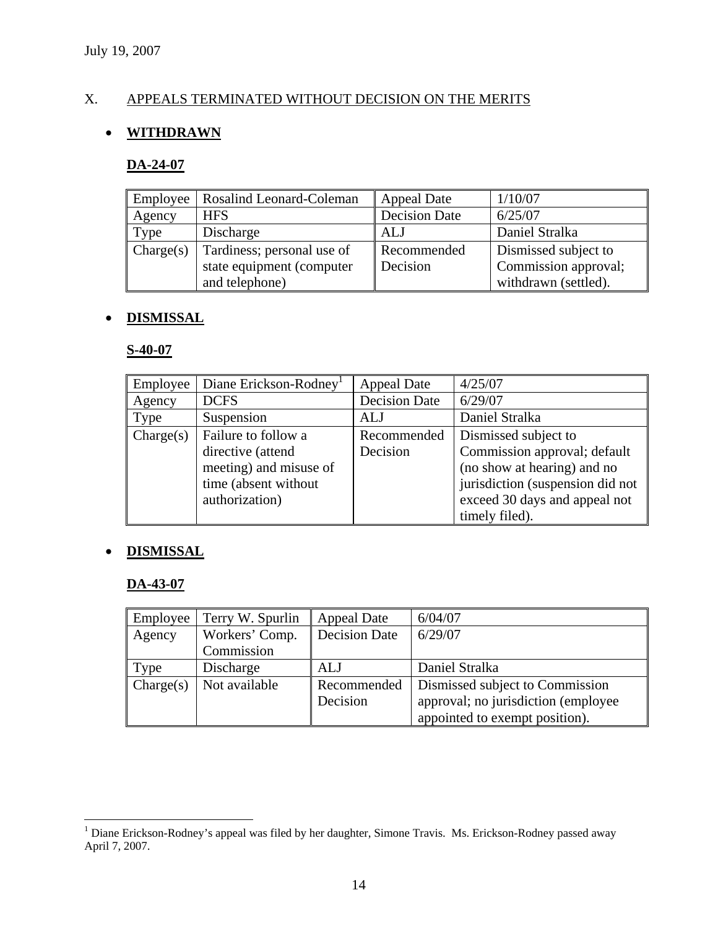# X. APPEALS TERMINATED WITHOUT DECISION ON THE MERITS

# • **WITHDRAWN**

#### **DA-24-07**

|           | Employee   Rosalind Leonard-Coleman | <b>Appeal Date</b>   | 1/10/07              |
|-----------|-------------------------------------|----------------------|----------------------|
| Agency    | <b>HFS</b>                          | <b>Decision Date</b> | 6/25/07              |
| Type      | Discharge                           | ALJ                  | Daniel Stralka       |
| Change(s) | Tardiness; personal use of          | Recommended          | Dismissed subject to |
|           | state equipment (computer           | Decision             | Commission approval; |
|           | and telephone)                      |                      | withdrawn (settled). |

# • **DISMISSAL**

#### **S-40-07**

| Employee  | Diane Erickson-Rodney <sup>1</sup> | <b>Appeal Date</b>   | 4/25/07                          |
|-----------|------------------------------------|----------------------|----------------------------------|
| Agency    | <b>DCFS</b>                        | <b>Decision Date</b> | 6/29/07                          |
| Type      | Suspension                         | ALJ                  | Daniel Stralka                   |
| Change(s) | Failure to follow a                | Recommended          | Dismissed subject to             |
|           | directive (attend                  | Decision             | Commission approval; default     |
|           | meeting) and misuse of             |                      | (no show at hearing) and no      |
|           | time (absent without)              |                      | jurisdiction (suspension did not |
|           | authorization)                     |                      | exceed 30 days and appeal not    |
|           |                                    |                      | timely filed).                   |

#### • **DISMISSAL**

# **DA-43-07**

| Employee  | Terry W. Spurlin | Appeal Date          | 6/04/07                              |
|-----------|------------------|----------------------|--------------------------------------|
| Agency    | Workers' Comp.   | <b>Decision Date</b> | 6/29/07                              |
|           | Commission       |                      |                                      |
| Type      | Discharge        | ALJ                  | Daniel Stralka                       |
| Change(s) | Not available    | Recommended          | Dismissed subject to Commission      |
|           |                  | Decision             | approval; no jurisdiction (employee) |
|           |                  |                      | appointed to exempt position).       |

<sup>1&</sup>lt;br>
<sup>1</sup> Diane Erickson-Rodney's appeal was filed by her daughter, Simone Travis. Ms. Erickson-Rodney passed away April 7, 2007.